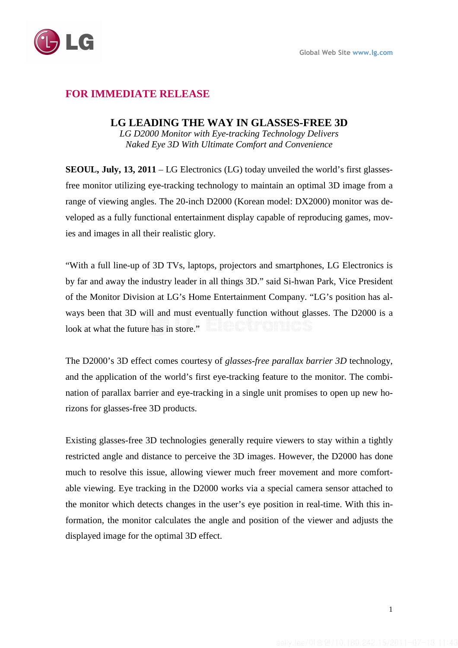## **FOR IMMEDIATE RELEASE**

## **LG LEADING THE WAY IN GLASSES-FREE 3D**

*LG D2000 Monitor with Eye-tracking Technology Delivers Naked Eye 3D With Ultimate Comfort and Convenience* 

**SEOUL, July, 13, 2011** – LG Electronics (LG) today unveiled the world's first glassesfree monitor utilizing eye-tracking technology to maintain an optimal 3D image from a range of viewing angles. The 20-inch D2000 (Korean model: DX2000) monitor was developed as a fully functional entertainment display capable of reproducing games, movies and images in all their realistic glory.

"With a full line-up of 3D TVs, laptops, projectors and smartphones, LG Electronics is by far and away the industry leader in all things 3D." said Si-hwan Park, Vice President of the Monitor Division at LG's Home Entertainment Company. "LG's position has always been that 3D will and must eventually function without glasses. The D2000 is a look at what the future has in store."

The D2000's 3D effect comes courtesy of *glasses-free parallax barrier 3D* technology, and the application of the world's first eye-tracking feature to the monitor. The combination of parallax barrier and eye-tracking in a single unit promises to open up new horizons for glasses-free 3D products.

Existing glasses-free 3D technologies generally require viewers to stay within a tightly restricted angle and distance to perceive the 3D images. However, the D2000 has done much to resolve this issue, allowing viewer much freer movement and more comfortable viewing. Eye tracking in the D2000 works via a special camera sensor attached to the monitor which detects changes in the user's eye position in real-time. With this information, the monitor calculates the angle and position of the viewer and adjusts the displayed image for the optimal 3D effect.